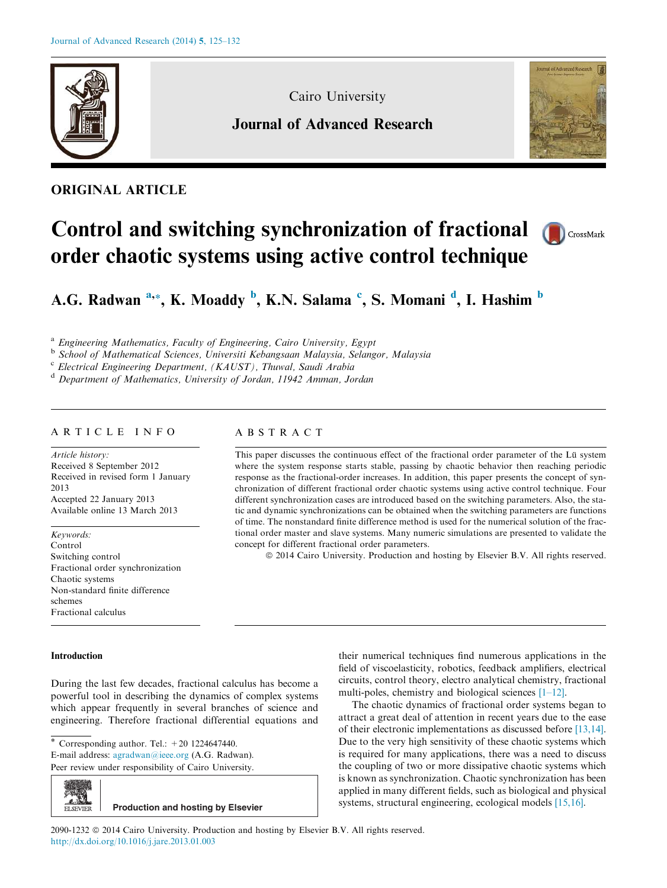

Cairo University

# Journal of Advanced Research



# ORIGINAL ARTICLE

# Control and switching synchronization of fractional Concrete Consequent order chaotic systems using active control technique



A.G. Radwan <sup>a,\*</sup>, K. Moaddy <sup>b</sup>, K.N. Salama <sup>c</sup>, S. Momani <sup>d</sup>, I. Hashim <sup>b</sup>

<sup>a</sup> Engineering Mathematics, Faculty of Engineering, Cairo University, Egypt

<sup>b</sup> School of Mathematical Sciences, Universiti Kebangsaan Malaysia, Selangor, Malaysia

 $c$  Electrical Engineering Department, (KAUST), Thuwal, Saudi Arabia

<sup>d</sup> Department of Mathematics, University of Jordan, 11942 Amman, Jordan

# ARTICLE INFO

Article history: Received 8 September 2012 Received in revised form 1 January 2013 Accepted 22 January 2013 Available online 13 March 2013

Keywords: Control Switching control Fractional order synchronization Chaotic systems Non-standard finite difference schemes Fractional calculus

## ABSTRACT

This paper discusses the continuous effect of the fractional order parameter of the Lü system where the system response starts stable, passing by chaotic behavior then reaching periodic response as the fractional-order increases. In addition, this paper presents the concept of synchronization of different fractional order chaotic systems using active control technique. Four different synchronization cases are introduced based on the switching parameters. Also, the static and dynamic synchronizations can be obtained when the switching parameters are functions of time. The nonstandard finite difference method is used for the numerical solution of the fractional order master and slave systems. Many numeric simulations are presented to validate the concept for different fractional order parameters.

 $© 2014 Cairo University. Production and hosting by Elsevier B.V. All rights reserved.$ 

# Introduction

During the last few decades, fractional calculus has become a powerful tool in describing the dynamics of complex systems which appear frequently in several branches of science and engineering. Therefore fractional differential equations and

 $\overline{\text{*} \text{ Corresponding author}}$ . Tel.: +20 1224647440. E-mail address: agradwan@ieee.org (A.G. Radwan). Peer review under responsibility of Cairo University.

ERSIL<sub>S</sub> **Production and hosting by Elsevier** their numerical techniques find numerous applications in the field of viscoelasticity, robotics, feedback amplifiers, electrical circuits, control theory, electro analytical chemistry, fractional multi-poles, chemistry and biological sciences [1–12].

The chaotic dynamics of fractional order systems began to attract a great deal of attention in recent years due to the ease of their electronic implementations as discussed before [13,14]. Due to the very high sensitivity of these chaotic systems which is required for many applications, there was a need to discuss the coupling of two or more dissipative chaotic systems which is known as synchronization. Chaotic synchronization has been applied in many different fields, such as biological and physical systems, structural engineering, ecological models [15,16].

2090-1232 @ 2014 Cairo University. Production and hosting by Elsevier B.V. All rights reserved. http://dx.doi.org/10.1016/j.jare.2013.01.003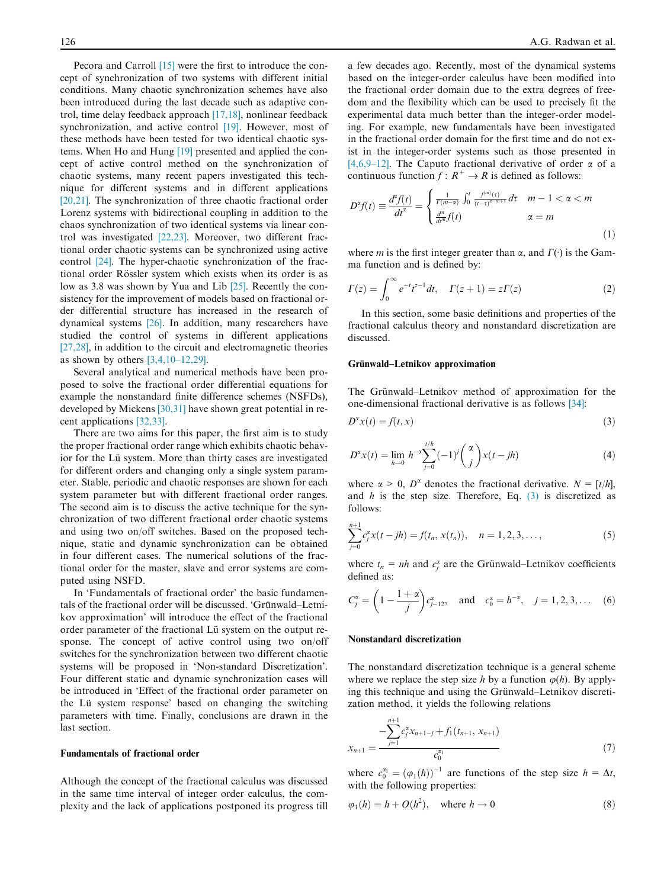Pecora and Carroll [15] were the first to introduce the concept of synchronization of two systems with different initial conditions. Many chaotic synchronization schemes have also been introduced during the last decade such as adaptive control, time delay feedback approach [17,18], nonlinear feedback synchronization, and active control [19]. However, most of these methods have been tested for two identical chaotic systems. When Ho and Hung [19] presented and applied the concept of active control method on the synchronization of chaotic systems, many recent papers investigated this technique for different systems and in different applications [20,21]. The synchronization of three chaotic fractional order Lorenz systems with bidirectional coupling in addition to the chaos synchronization of two identical systems via linear control was investigated [22,23]. Moreover, two different fractional order chaotic systems can be synchronized using active control [24]. The hyper-chaotic synchronization of the fractional order Rössler system which exists when its order is as low as 3.8 was shown by Yua and Lib [25]. Recently the consistency for the improvement of models based on fractional order differential structure has increased in the research of dynamical systems [26]. In addition, many researchers have studied the control of systems in different applications [27,28], in addition to the circuit and electromagnetic theories as shown by others  $[3,4,10-12,29]$ .

Several analytical and numerical methods have been proposed to solve the fractional order differential equations for example the nonstandard finite difference schemes (NSFDs), developed by Mickens [30,31] have shown great potential in recent applications [32,33].

There are two aims for this paper, the first aim is to study the proper fractional order range which exhibits chaotic behavior for the Lü system. More than thirty cases are investigated for different orders and changing only a single system parameter. Stable, periodic and chaotic responses are shown for each system parameter but with different fractional order ranges. The second aim is to discuss the active technique for the synchronization of two different fractional order chaotic systems and using two on/off switches. Based on the proposed technique, static and dynamic synchronization can be obtained in four different cases. The numerical solutions of the fractional order for the master, slave and error systems are computed using NSFD.

In 'Fundamentals of fractional order' the basic fundamentals of the fractional order will be discussed. 'Grünwald-Letnikov approximation' will introduce the effect of the fractional order parameter of the fractional Lü system on the output response. The concept of active control using two on/off switches for the synchronization between two different chaotic systems will be proposed in 'Non-standard Discretization'. Four different static and dynamic synchronization cases will be introduced in 'Effect of the fractional order parameter on the Lu¨ system response' based on changing the switching parameters with time. Finally, conclusions are drawn in the last section.

#### Fundamentals of fractional order

Although the concept of the fractional calculus was discussed in the same time interval of integer order calculus, the complexity and the lack of applications postponed its progress till a few decades ago. Recently, most of the dynamical systems based on the integer-order calculus have been modified into the fractional order domain due to the extra degrees of freedom and the flexibility which can be used to precisely fit the experimental data much better than the integer-order modeling. For example, new fundamentals have been investigated in the fractional order domain for the first time and do not exist in the integer-order systems such as those presented in [4,6,9–12]. The Caputo fractional derivative of order  $\alpha$  of a continuous function  $f: R^+ \to R$  is defined as follows:

$$
D^{\alpha}f(t) \equiv \frac{d^{\alpha}f(t)}{dt^{\alpha}} = \begin{cases} \frac{1}{\Gamma(m-\alpha)} \int_0^t \frac{f^{(m)}(t)}{(t-t)^{\alpha-m+1}} dt & m-1 < \alpha < m\\ \frac{d^m}{dt^m}f(t) & \alpha = m \end{cases}
$$
(1)

where *m* is the first integer greater than  $\alpha$ , and  $\Gamma(\cdot)$  is the Gamma function and is defined by:

$$
\Gamma(z) = \int_0^\infty e^{-t} t^{z-1} dt, \quad \Gamma(z+1) = z \Gamma(z)
$$
 (2)

In this section, some basic definitions and properties of the fractional calculus theory and nonstandard discretization are discussed.

## Grünwald–Letnikov approximation

The Grünwald–Letnikov method of approximation for the one-dimensional fractional derivative is as follows [34]:

$$
D^{\alpha}x(t) = f(t, x) \tag{3}
$$

$$
D^{x}x(t) = \lim_{h \to 0} h^{-x} \sum_{j=0}^{t/h} (-1)^{j} \binom{x}{j} x(t - jh)
$$
 (4)

where  $\alpha > 0$ ,  $D^{\alpha}$  denotes the fractional derivative.  $N = [t/h]$ , and  $h$  is the step size. Therefore, Eq.  $(3)$  is discretized as follows:

$$
\sum_{j=0}^{n+1} c_j^x x(t - jh) = f(t_n, x(t_n)), \quad n = 1, 2, 3, \dots,
$$
 (5)

where  $t_n = nh$  and  $c_j^{\alpha}$  are the Grünwald–Letnikov coefficients defined as:

$$
C_j^{\alpha} = \left(1 - \frac{1 + \alpha}{j}\right) c_{j-12}^{\alpha}, \text{ and } c_0^{\alpha} = h^{-\alpha}, \quad j = 1, 2, 3, \dots \quad (6)
$$

#### Nonstandard discretization

The nonstandard discretization technique is a general scheme where we replace the step size h by a function  $\varphi(h)$ . By applying this technique and using the Grünwald–Letnikov discretization method, it yields the following relations

$$
x_{n+1} = \frac{-\sum_{j=1}^{n+1} c_j^{\alpha} x_{n+1-j} + f_1(t_{n+1}, x_{n+1})}{c_0^{\alpha_1}}
$$
(7)

where  $c_0^{a_1} = (\varphi_1(h))^{-1}$  are functions of the step size  $h = \Delta t$ , with the following properties:

$$
\varphi_1(h) = h + O(h^2), \quad \text{where } h \to 0 \tag{8}
$$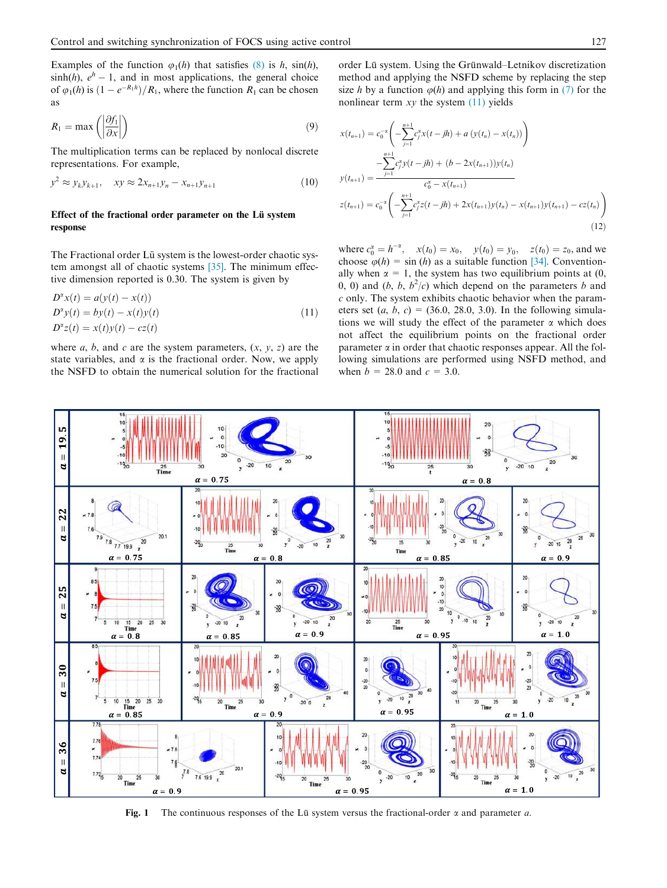Examples of the function  $\varphi_1(h)$  that satisfies (8) is h, sin(h),  $sinh(h)$ ,  $e^{h} - 1$ , and in most applications, the general choice of  $\varphi_1(h)$  is  $(1 - e^{-R_1h})/R_1$ , where the function  $R_1$  can be chosen as

$$
R_1 = \max\left(\left|\frac{\partial f_1}{\partial x}\right|\right) \tag{9}
$$

The multiplication terms can be replaced by nonlocal discrete representations. For example,

$$
y^{2} \approx y_{k} y_{k+1}, \quad xy \approx 2x_{n+1} y_{n} - x_{n+1} y_{n+1}
$$
 (10)

# Effect of the fractional order parameter on the Lü system response

The Fractional order Lü system is the lowest-order chaotic system amongst all of chaotic systems [35]. The minimum effective dimension reported is 0.30. The system is given by

$$
Dxx(t) = a(y(t) - x(t))
$$
  
\n
$$
Dxy(t) = by(t) - x(t)y(t)
$$
  
\n
$$
Dxz(t) = x(t)y(t) - cz(t)
$$
\n(11)

where  $a, b$ , and  $c$  are the system parameters,  $(x, y, z)$  are the state variables, and  $\alpha$  is the fractional order. Now, we apply the NSFD to obtain the numerical solution for the fractional order Lü system. Using the Grünwald–Letnikov discretization method and applying the NSFD scheme by replacing the step size h by a function  $\varphi(h)$  and applying this form in (7) for the nonlinear term  $xy$  the system (11) yields

$$
x(t_{n+1}) = c_0^{-\alpha} \left( -\sum_{j=1}^{n+1} c_j^{\alpha} x(t - jh) + a \left( y(t_n) - x(t_n) \right) \right)
$$
  

$$
= \sum_{j=1}^{n+1} c_j^{\alpha} y(t - jh) + (b - 2x(t_{n+1})) y(t_n)
$$
  

$$
y(t_{n+1}) = \frac{c_0^{-\alpha} \left( -\sum_{j=1}^{n+1} c_j^{\alpha} z(t - jh) + 2x(t_{n+1}) y(t_n) - x(t_{n+1}) y(t_{n+1}) - cz(t_n) \right)}{c_0^{-\alpha} \left( -\sum_{j=1}^{n+1} c_j^{\alpha} z(t - jh) + 2x(t_{n+1}) y(t_n) - x(t_{n+1}) y(t_{n+1}) - cz(t_n) \right)}
$$
\n(12)

where  $c_0^{\alpha} = h^{-\alpha}$ ,  $x(t_0) = x_0$ ,  $y(t_0) = y_0$ ,  $z(t_0) = z_0$ , and we choose  $\varphi(h) = \sin(h)$  as a suitable function [34]. Conventionally when  $\alpha = 1$ , the system has two equilibrium points at (0, 0, 0) and  $(b, b, b<sup>2</sup>/c)$  which depend on the parameters b and  $c$  only. The system exhibits chaotic behavior when the parameters set  $(a, b, c) = (36.0, 28.0, 3.0)$ . In the following simulations we will study the effect of the parameter  $\alpha$  which does not affect the equilibrium points on the fractional order parameter  $\alpha$  in order that chaotic responses appear. All the following simulations are performed using NSFD method, and when  $b = 28.0$  and  $c = 3.0$ .



Fig. 1 The continuous responses of the Lü system versus the fractional-order  $\alpha$  and parameter a.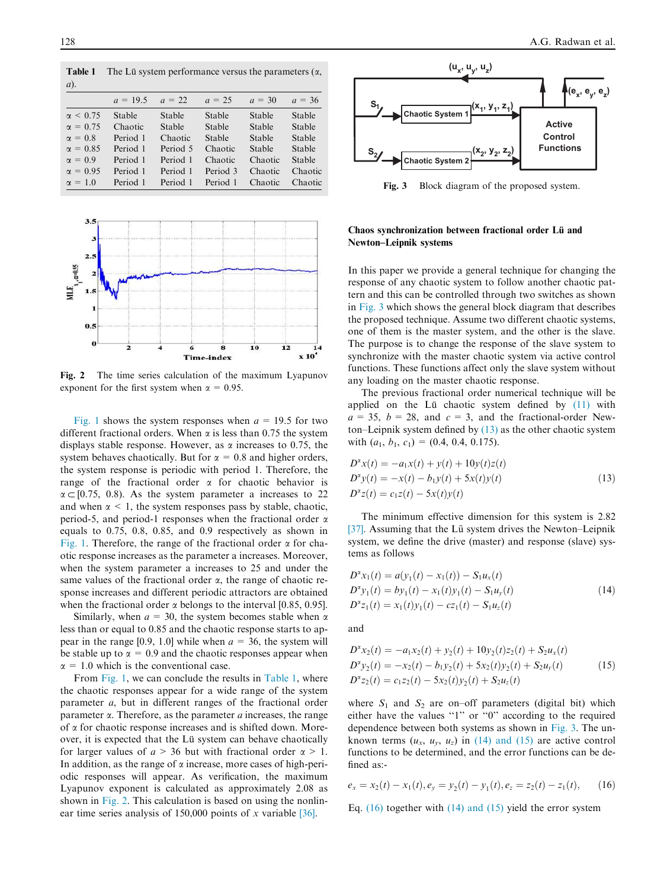**Table 1** The Lü system performance versus the parameters  $(\alpha, \beta)$ a).

| $a = 22$<br>$a = 25$<br>$a = 30$<br>$a = 19.5$<br>$a = 36$                    |  |
|-------------------------------------------------------------------------------|--|
| Stable<br>Stable<br>Stable<br>Stable<br>Stable<br>$\alpha \leq 0.75$          |  |
| Chaotic<br>Stable<br>Stable<br>Stable<br>Stable<br>$\alpha = 0.75$            |  |
| Period 1<br>Chaotic<br>Stable<br><b>Stable</b><br>Stable<br>$\alpha = 0.8$    |  |
| Period 1<br>$\alpha = 0.85$<br>Stable<br>Period 5<br><b>Stable</b><br>Chaotic |  |
| Period 1<br>$\alpha = 0.9$<br>Period 1<br>Stable<br>Chaotic<br>Chaotic        |  |
| $\alpha = 0.95$<br>Period 1<br>Period 1<br>Period 3<br>Chaotic<br>Chaotic     |  |
| Chaotic<br>$\alpha = 1.0$<br>Period 1<br>Period 1<br>Period 1<br>Chaotic      |  |



Fig. 2 The time series calculation of the maximum Lyapunov exponent for the first system when  $\alpha = 0.95$ .

Fig. 1 shows the system responses when  $a = 19.5$  for two different fractional orders. When  $\alpha$  is less than 0.75 the system displays stable response. However, as  $\alpha$  increases to 0.75, the system behaves chaotically. But for  $\alpha = 0.8$  and higher orders, the system response is periodic with period 1. Therefore, the range of the fractional order  $\alpha$  for chaotic behavior is  $\alpha \subset [0.75, 0.8)$ . As the system parameter a increases to 22 and when  $\alpha$  < 1, the system responses pass by stable, chaotic, period-5, and period-1 responses when the fractional order  $\alpha$ equals to 0.75, 0.8, 0.85, and 0.9 respectively as shown in Fig. 1. Therefore, the range of the fractional order  $\alpha$  for chaotic response increases as the parameter a increases. Moreover, when the system parameter a increases to 25 and under the same values of the fractional order  $\alpha$ , the range of chaotic response increases and different periodic attractors are obtained when the fractional order  $\alpha$  belongs to the interval [0.85, 0.95].

Similarly, when  $a = 30$ , the system becomes stable when  $\alpha$ less than or equal to 0.85 and the chaotic response starts to appear in the range [0.9, 1.0] while when  $a = 36$ , the system will be stable up to  $\alpha = 0.9$  and the chaotic responses appear when  $\alpha$  = 1.0 which is the conventional case.

From Fig. 1, we can conclude the results in Table 1, where the chaotic responses appear for a wide range of the system parameter a, but in different ranges of the fractional order parameter  $\alpha$ . Therefore, as the parameter  $a$  increases, the range of  $\alpha$  for chaotic response increases and is shifted down. Moreover, it is expected that the Lu¨ system can behave chaotically for larger values of  $a > 36$  but with fractional order  $\alpha > 1$ . In addition, as the range of  $\alpha$  increase, more cases of high-periodic responses will appear. As verification, the maximum Lyapunov exponent is calculated as approximately 2.08 as shown in Fig. 2. This calculation is based on using the nonlinear time series analysis of  $150,000$  points of x variable [36].



Fig. 3 Block diagram of the proposed system.

## Chaos synchronization between fractional order Lü and Newton–Leipnik systems

In this paper we provide a general technique for changing the response of any chaotic system to follow another chaotic pattern and this can be controlled through two switches as shown in Fig. 3 which shows the general block diagram that describes the proposed technique. Assume two different chaotic systems, one of them is the master system, and the other is the slave. The purpose is to change the response of the slave system to synchronize with the master chaotic system via active control functions. These functions affect only the slave system without any loading on the master chaotic response.

The previous fractional order numerical technique will be applied on the Lü chaotic system defined by  $(11)$  with  $a = 35$ ,  $b = 28$ , and  $c = 3$ , and the fractional-order Newton–Leipnik system defined by (13) as the other chaotic system with  $(a_1, b_1, c_1) = (0.4, 0.4, 0.175)$ .

$$
D^{x}x(t) = -a_1x(t) + y(t) + 10y(t)z(t)
$$
  
\n
$$
D^{x}y(t) = -x(t) - b_1y(t) + 5x(t)y(t)
$$
  
\n
$$
D^{x}z(t) = c_1z(t) - 5x(t)y(t)
$$
\n(13)

The minimum effective dimension for this system is 2.82 [37]. Assuming that the Lü system drives the Newton–Leipnik system, we define the drive (master) and response (slave) systems as follows

$$
D^{2}x_{1}(t) = a(y_{1}(t) - x_{1}(t)) - S_{1}u_{x}(t)
$$
  
\n
$$
D^{2}y_{1}(t) = by_{1}(t) - x_{1}(t)y_{1}(t) - S_{1}u_{y}(t)
$$
  
\n
$$
D^{2}z_{1}(t) = x_{1}(t)y_{1}(t) - cz_{1}(t) - S_{1}u_{z}(t)
$$
\n(14)

and

$$
D^2 x_2(t) = -a_1 x_2(t) + y_2(t) + 10y_2(t)z_2(t) + S_2 u_x(t)
$$
  
\n
$$
D^2 y_2(t) = -x_2(t) - b_1 y_2(t) + 5x_2(t) y_2(t) + S_2 u_y(t)
$$
  
\n
$$
D^2 z_2(t) = c_1 z_2(t) - 5x_2(t) y_2(t) + S_2 u_z(t)
$$
\n(15)

where  $S_1$  and  $S_2$  are on–off parameters (digital bit) which either have the values "1" or "0" according to the required dependence between both systems as shown in Fig. 3. The unknown terms  $(u_x, u_y, u_z)$  in (14) and (15) are active control functions to be determined, and the error functions can be defined as:-

$$
e_x = x_2(t) - x_1(t), e_y = y_2(t) - y_1(t), e_z = z_2(t) - z_1(t), \qquad (16)
$$

Eq. (16) together with (14) and (15) yield the error system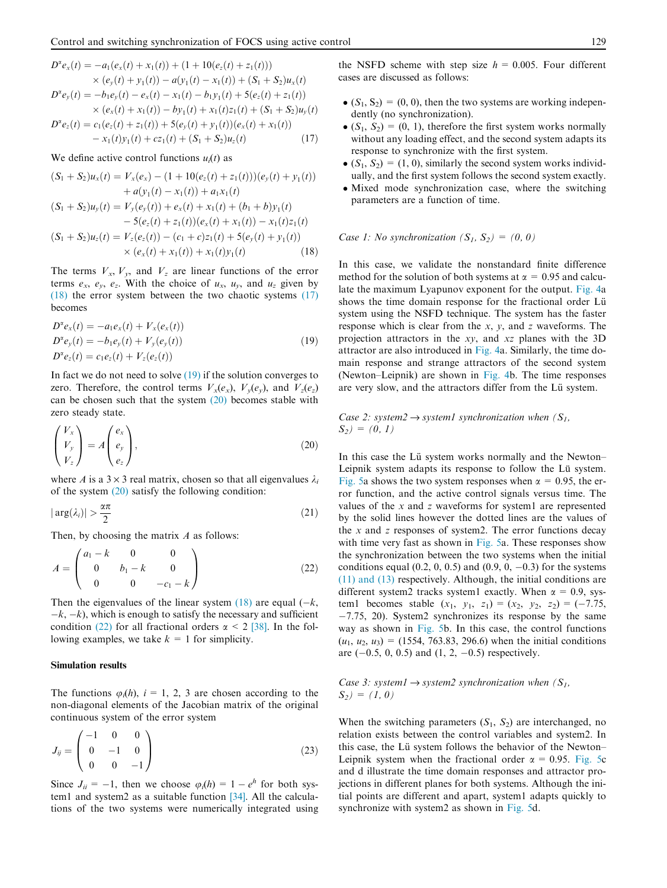$$
D^*e_x(t) = -a_1(e_x(t) + x_1(t)) + (1 + 10(e_z(t) + z_1(t)))
$$
  
\n
$$
\times (e_y(t) + y_1(t)) - a(y_1(t) - x_1(t)) + (S_1 + S_2)u_x(t)
$$
  
\n
$$
D^*e_y(t) = -b_1e_y(t) - e_x(t) - x_1(t) - b_1y_1(t) + 5(e_z(t) + z_1(t))
$$
  
\n
$$
\times (e_x(t) + x_1(t)) - by_1(t) + x_1(t)z_1(t) + (S_1 + S_2)u_y(t)
$$
  
\n
$$
D^*e_z(t) = c_1(e_z(t) + z_1(t)) + 5(e_y(t) + y_1(t))(e_x(t) + x_1(t))
$$
  
\n
$$
-x_1(t)y_1(t) + cz_1(t) + (S_1 + S_2)u_z(t)
$$
\n(17)

We define active control functions  $u_i(t)$  as

$$
(S_1 + S_2)u_x(t) = V_x(e_x) - (1 + 10(e_z(t) + z_1(t))) (e_y(t) + y_1(t))
$$
  
+  $a(y_1(t) - x_1(t)) + a_1x_1(t)$   

$$
(S_1 + S_2)u_y(t) = V_y(e_y(t)) + e_x(t) + x_1(t) + (b_1 + b)y_1(t)
$$
  
-  $5(e_z(t) + z_1(t))(e_x(t) + x_1(t)) - x_1(t)z_1(t)$   

$$
(S_1 + S_2)u_z(t) = V_z(e_z(t)) - (c_1 + c)z_1(t) + 5(e_y(t) + y_1(t))
$$
  
×  $(e_x(t) + x_1(t)) + x_1(t)y_1(t)$  (18)

The terms  $V_x$ ,  $V_y$ , and  $V_z$  are linear functions of the error terms  $e_x$ ,  $e_y$ ,  $e_z$ . With the choice of  $u_x$ ,  $u_y$ , and  $u_z$  given by (18) the error system between the two chaotic systems (17) becomes

$$
D^{\alpha}e_{x}(t) = -a_{1}e_{x}(t) + V_{x}(e_{x}(t))
$$
  
\n
$$
D^{\alpha}e_{y}(t) = -b_{1}e_{y}(t) + V_{y}(e_{y}(t))
$$
  
\n
$$
D^{\alpha}e_{z}(t) = c_{1}e_{z}(t) + V_{z}(e_{z}(t))
$$
\n(19)

In fact we do not need to solve (19) if the solution converges to zero. Therefore, the control terms  $V_x(e_x)$ ,  $V_y(e_y)$ , and  $V_z(e_z)$ can be chosen such that the system (20) becomes stable with zero steady state.

$$
\begin{pmatrix} V_x \\ V_y \\ V_z \end{pmatrix} = A \begin{pmatrix} e_x \\ e_y \\ e_z \end{pmatrix},
$$
\n(20)

where A is a  $3 \times 3$  real matrix, chosen so that all eigenvalues  $\lambda_i$ of the system (20) satisfy the following condition:

$$
|\arg(\lambda_i)| > \frac{\alpha \pi}{2} \tag{21}
$$

Then, by choosing the matrix A as follows:

$$
A = \begin{pmatrix} a_1 - k & 0 & 0 \\ 0 & b_1 - k & 0 \\ 0 & 0 & -c_1 - k \end{pmatrix}
$$
 (22)

Then the eigenvalues of the linear system  $(18)$  are equal  $(-k,$  $-k$ ,  $-k$ ), which is enough to satisfy the necessary and sufficient condition (22) for all fractional orders  $\alpha$  < 2 [38]. In the following examples, we take  $k = 1$  for simplicity.

#### Simulation results

The functions  $\varphi_i(h)$ ,  $i = 1, 2, 3$  are chosen according to the non-diagonal elements of the Jacobian matrix of the original continuous system of the error system

$$
J_{ij} = \begin{pmatrix} -1 & 0 & 0 \\ 0 & -1 & 0 \\ 0 & 0 & -1 \end{pmatrix}
$$
 (23)

Since  $J_{ii} = -1$ , then we choose  $\varphi_i(h) = 1 - e^h$  for both system1 and system2 as a suitable function [34]. All the calculations of the two systems were numerically integrated using the NSFD scheme with step size  $h = 0.005$ . Four different cases are discussed as follows:

- $\bullet$  (S<sub>1</sub>, S<sub>2</sub>) = (0, 0), then the two systems are working independently (no synchronization).
- $(S_1, S_2) = (0, 1)$ , therefore the first system works normally without any loading effect, and the second system adapts its response to synchronize with the first system.
- $(S_1, S_2) = (1, 0)$ , similarly the second system works individually, and the first system follows the second system exactly.
- Mixed mode synchronization case, where the switching parameters are a function of time.

Case 1: No synchronization  $(S_1, S_2) = (0, 0)$ 

In this case, we validate the nonstandard finite difference method for the solution of both systems at  $\alpha = 0.95$  and calculate the maximum Lyapunov exponent for the output. Fig. 4a shows the time domain response for the fractional order Lü system using the NSFD technique. The system has the faster response which is clear from the  $x$ ,  $y$ , and  $z$  waveforms. The projection attractors in the xy, and xz planes with the 3D attractor are also introduced in Fig. 4a. Similarly, the time domain response and strange attractors of the second system (Newton–Leipnik) are shown in Fig. 4b. The time responses are very slow, and the attractors differ from the Lü system.

Case 2: system2  $\rightarrow$  system1 synchronization when (S<sub>1</sub>,  $S_2$ ) = (0, 1)

In this case the Lü system works normally and the Newton– Leipnik system adapts its response to follow the Lü system. Fig. 5a shows the two system responses when  $\alpha = 0.95$ , the error function, and the active control signals versus time. The values of the  $x$  and  $z$  waveforms for system1 are represented by the solid lines however the dotted lines are the values of the  $x$  and  $z$  responses of system2. The error functions decay with time very fast as shown in Fig. 5a. These responses show the synchronization between the two systems when the initial conditions equal  $(0.2, 0, 0.5)$  and  $(0.9, 0, -0.3)$  for the systems (11) and (13) respectively. Although, the initial conditions are different system2 tracks system1 exactly. When  $\alpha = 0.9$ , system1 becomes stable  $(x_1, y_1, z_1) = (x_2, y_2, z_2) = (-7.75,$  $-7.75$ , 20). System2 synchronizes its response by the same way as shown in Fig. 5b. In this case, the control functions  $(u_1, u_2, u_3) = (1554, 763.83, 296.6)$  when the initial conditions are  $(-0.5, 0, 0.5)$  and  $(1, 2, -0.5)$  respectively.

Case 3: system1  $\rightarrow$  system2 synchronization when (S<sub>1</sub>,  $S_2$ ) = (1, 0)

When the switching parameters  $(S_1, S_2)$  are interchanged, no relation exists between the control variables and system2. In this case, the Lü system follows the behavior of the Newton– Leipnik system when the fractional order  $\alpha = 0.95$ . Fig. 5c and d illustrate the time domain responses and attractor projections in different planes for both systems. Although the initial points are different and apart, system1 adapts quickly to synchronize with system2 as shown in Fig. 5d.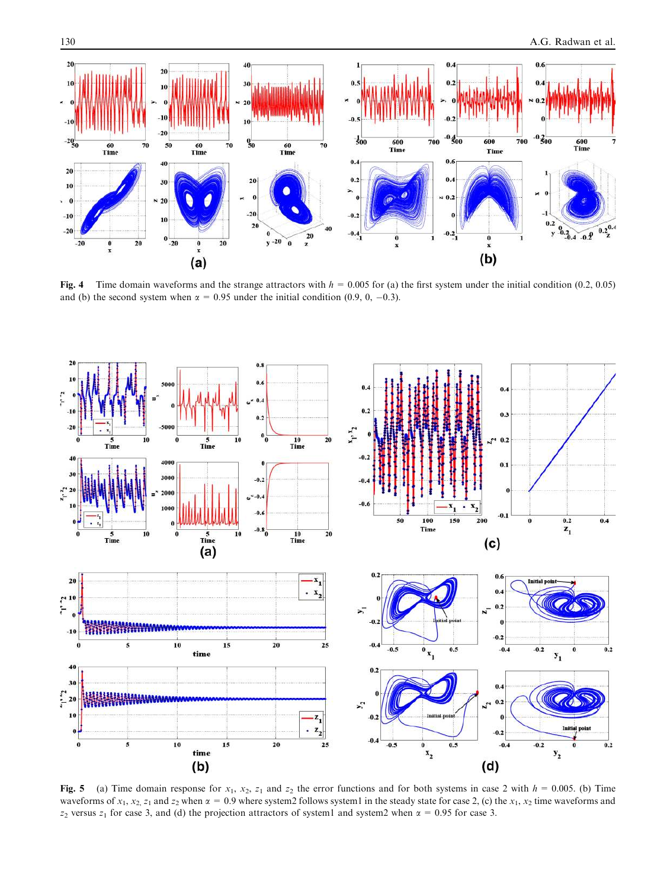

Fig. 4 Time domain waveforms and the strange attractors with  $h = 0.005$  for (a) the first system under the initial condition (0.2, 0.05) and (b) the second system when  $\alpha = 0.95$  under the initial condition (0.9, 0, -0.3).



Fig. 5 (a) Time domain response for  $x_1$ ,  $x_2$ ,  $z_1$  and  $z_2$  the error functions and for both systems in case 2 with  $h = 0.005$ . (b) Time waveforms of  $x_1, x_2, z_1$  and  $z_2$  when  $\alpha = 0.9$  where system2 follows system1 in the steady state for case 2, (c) the  $x_1, x_2$  time waveforms and  $z_2$  versus  $z_1$  for case 3, and (d) the projection attractors of system1 and system2 when  $\alpha = 0.95$  for case 3.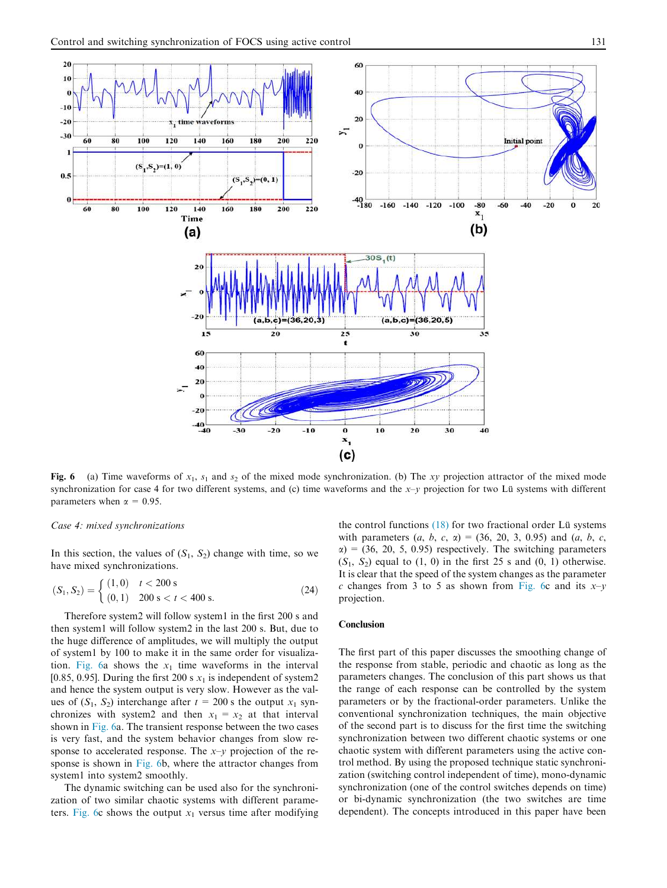

Fig. 6 (a) Time waveforms of  $x_1$ ,  $s_1$  and  $s_2$  of the mixed mode synchronization. (b) The xy projection attractor of the mixed mode synchronization for case 4 for two different systems, and (c) time waveforms and the  $x-y$  projection for two Lü systems with different parameters when  $\alpha = 0.95$ .

#### Case 4: mixed synchronizations

In this section, the values of  $(S_1, S_2)$  change with time, so we have mixed synchronizations.

$$
(S_1, S_2) = \begin{cases} (1, 0) & t < 200 \text{ s} \\ (0, 1) & 200 \text{ s} < t < 400 \text{ s.} \end{cases}
$$
 (24)

Therefore system2 will follow system1 in the first 200 s and then system1 will follow system2 in the last 200 s. But, due to the huge difference of amplitudes, we will multiply the output of system1 by 100 to make it in the same order for visualization. Fig. 6a shows the  $x_1$  time waveforms in the interval [0.85, 0.95]. During the first 200 s  $x_1$  is independent of system2 and hence the system output is very slow. However as the values of  $(S_1, S_2)$  interchange after  $t = 200$  s the output  $x_1$  synchronizes with system2 and then  $x_1 = x_2$  at that interval shown in Fig. 6a. The transient response between the two cases is very fast, and the system behavior changes from slow response to accelerated response. The  $x-y$  projection of the response is shown in Fig. 6b, where the attractor changes from system1 into system2 smoothly.

The dynamic switching can be used also for the synchronization of two similar chaotic systems with different parameters. Fig. 6c shows the output  $x_1$  versus time after modifying the control functions  $(18)$  for two fractional order Lü systems with parameters  $(a, b, c, \alpha) = (36, 20, 3, 0.95)$  and  $(a, b, c, \alpha)$  $\alpha$ ) = (36, 20, 5, 0.95) respectively. The switching parameters  $(S_1, S_2)$  equal to  $(1, 0)$  in the first 25 s and  $(0, 1)$  otherwise. It is clear that the speed of the system changes as the parameter c changes from 3 to 5 as shown from Fig. 6c and its  $x-y$ projection.

#### **Conclusion**

The first part of this paper discusses the smoothing change of the response from stable, periodic and chaotic as long as the parameters changes. The conclusion of this part shows us that the range of each response can be controlled by the system parameters or by the fractional-order parameters. Unlike the conventional synchronization techniques, the main objective of the second part is to discuss for the first time the switching synchronization between two different chaotic systems or one chaotic system with different parameters using the active control method. By using the proposed technique static synchronization (switching control independent of time), mono-dynamic synchronization (one of the control switches depends on time) or bi-dynamic synchronization (the two switches are time dependent). The concepts introduced in this paper have been